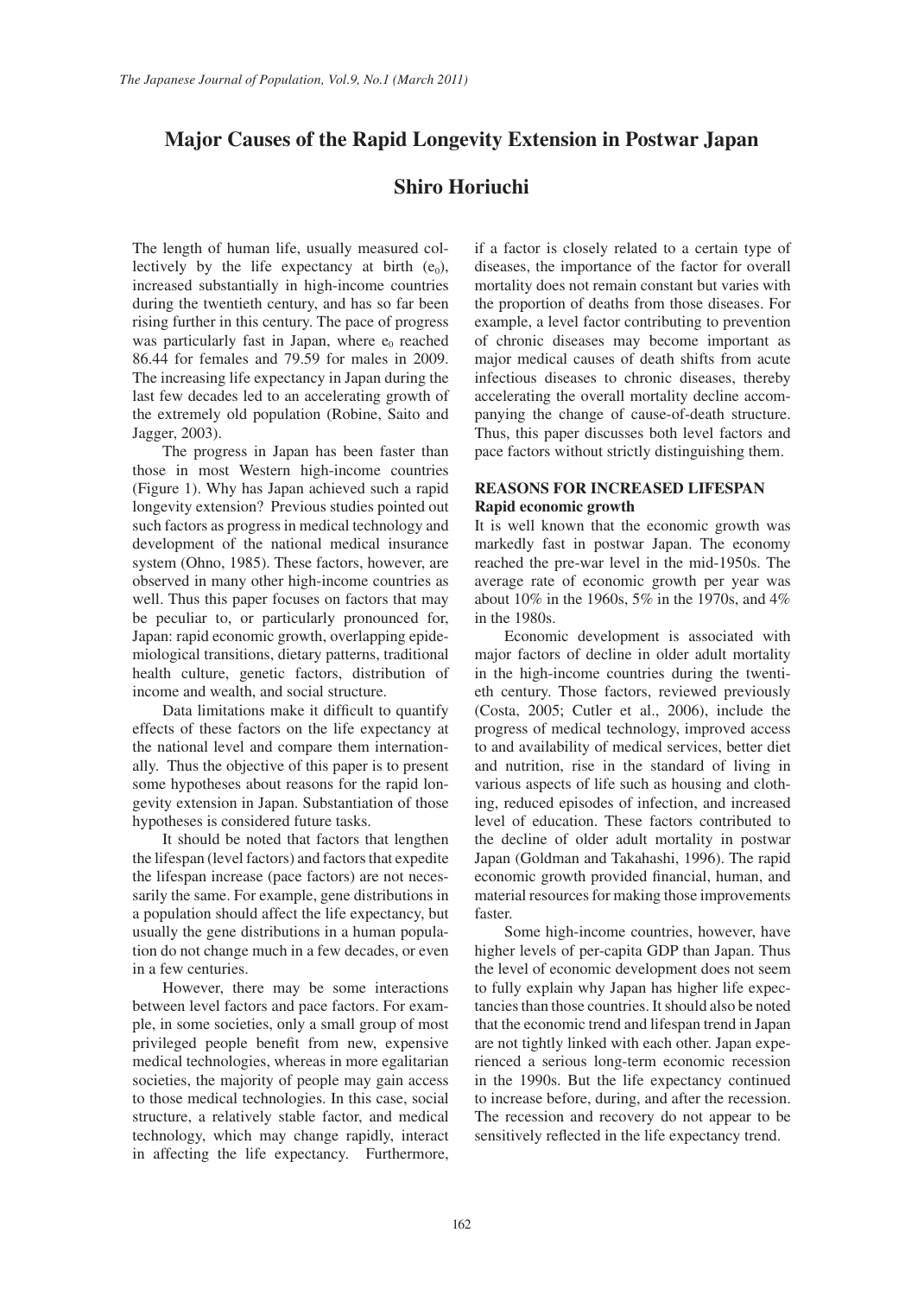# **Major Causes of the Rapid Longevity Extension in Postwar Japan**

# **Shiro Horiuchi**

The length of human life, usually measured collectively by the life expectancy at birth  $(e_0)$ , increased substantially in high-income countries during the twentieth century, and has so far been rising further in this century. The pace of progress was particularly fast in Japan, where  $e_0$  reached 86.44 for females and 79.59 for males in 2009. The increasing life expectancy in Japan during the last few decades led to an accelerating growth of the extremely old population (Robine, Saito and Jagger, 2003).

The progress in Japan has been faster than those in most Western high-income countries (Figure 1). Why has Japan achieved such a rapid longevity extension? Previous studies pointed out such factors as progress in medical technology and development of the national medical insurance system (Ohno, 1985). These factors, however, are observed in many other high-income countries as well. Thus this paper focuses on factors that may be peculiar to, or particularly pronounced for, Japan: rapid economic growth, overlapping epidemiological transitions, dietary patterns, traditional health culture, genetic factors, distribution of income and wealth, and social structure.

Data limitations make it difficult to quantify effects of these factors on the life expectancy at the national level and compare them internationally. Thus the objective of this paper is to present some hypotheses about reasons for the rapid longevity extension in Japan. Substantiation of those hypotheses is considered future tasks.

It should be noted that factors that lengthen the lifespan (level factors) and factors that expedite the lifespan increase (pace factors) are not necessarily the same. For example, gene distributions in a population should affect the life expectancy, but usually the gene distributions in a human population do not change much in a few decades, or even in a few centuries.

However, there may be some interactions between level factors and pace factors. For example, in some societies, only a small group of most privileged people benefit from new, expensive medical technologies, whereas in more egalitarian societies, the majority of people may gain access to those medical technologies. In this case, social structure, a relatively stable factor, and medical technology, which may change rapidly, interact in affecting the life expectancy. Furthermore,

if a factor is closely related to a certain type of diseases, the importance of the factor for overall mortality does not remain constant but varies with the proportion of deaths from those diseases. For example, a level factor contributing to prevention of chronic diseases may become important as major medical causes of death shifts from acute infectious diseases to chronic diseases, thereby accelerating the overall mortality decline accompanying the change of cause-of-death structure. Thus, this paper discusses both level factors and pace factors without strictly distinguishing them.

# **REASONS FOR INCREASED LIFESPAN Rapid economic growth**

It is well known that the economic growth was markedly fast in postwar Japan. The economy reached the pre-war level in the mid-1950s. The average rate of economic growth per year was about 10% in the 1960s, 5% in the 1970s, and 4% in the 1980s.

Economic development is associated with major factors of decline in older adult mortality in the high-income countries during the twentieth century. Those factors, reviewed previously (Costa, 2005; Cutler et al., 2006), include the progress of medical technology, improved access to and availability of medical services, better diet and nutrition, rise in the standard of living in various aspects of life such as housing and clothing, reduced episodes of infection, and increased level of education. These factors contributed to the decline of older adult mortality in postwar Japan (Goldman and Takahashi, 1996). The rapid economic growth provided financial, human, and material resources for making those improvements faster.

Some high-income countries, however, have higher levels of per-capita GDP than Japan. Thus the level of economic development does not seem to fully explain why Japan has higher life expectancies than those countries. It should also be noted that the economic trend and lifespan trend in Japan are not tightly linked with each other. Japan experienced a serious long-term economic recession in the 1990s. But the life expectancy continued to increase before, during, and after the recession. The recession and recovery do not appear to be sensitively reflected in the life expectancy trend.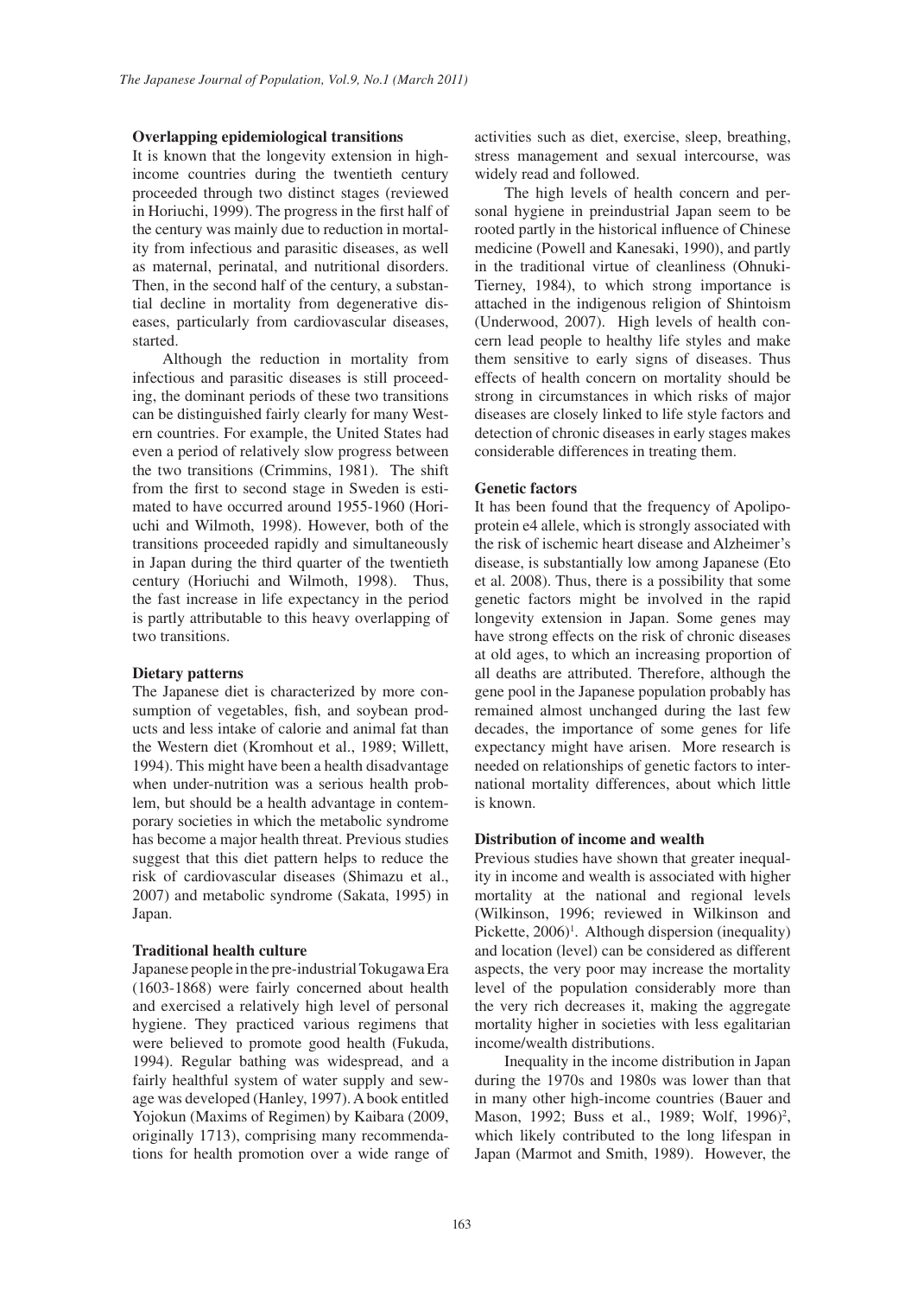### **Overlapping epidemiological transitions**

It is known that the longevity extension in highincome countries during the twentieth century proceeded through two distinct stages (reviewed in Horiuchi, 1999). The progress in the first half of the century was mainly due to reduction in mortality from infectious and parasitic diseases, as well as maternal, perinatal, and nutritional disorders. Then, in the second half of the century, a substantial decline in mortality from degenerative diseases, particularly from cardiovascular diseases, started.

Although the reduction in mortality from infectious and parasitic diseases is still proceeding, the dominant periods of these two transitions can be distinguished fairly clearly for many Western countries. For example, the United States had even a period of relatively slow progress between the two transitions (Crimmins, 1981). The shift from the first to second stage in Sweden is estimated to have occurred around 1955-1960 (Horiuchi and Wilmoth, 1998). However, both of the transitions proceeded rapidly and simultaneously in Japan during the third quarter of the twentieth century (Horiuchi and Wilmoth, 1998). Thus, the fast increase in life expectancy in the period is partly attributable to this heavy overlapping of two transitions.

#### **Dietary patterns**

The Japanese diet is characterized by more consumption of vegetables, fish, and soybean products and less intake of calorie and animal fat than the Western diet (Kromhout et al., 1989; Willett, 1994). This might have been a health disadvantage when under-nutrition was a serious health problem, but should be a health advantage in contemporary societies in which the metabolic syndrome has become a major health threat. Previous studies suggest that this diet pattern helps to reduce the risk of cardiovascular diseases (Shimazu et al., 2007) and metabolic syndrome (Sakata, 1995) in Japan.

# **Traditional health culture**

Japanese people in the pre-industrial Tokugawa Era (1603-1868) were fairly concerned about health and exercised a relatively high level of personal hygiene. They practiced various regimens that were believed to promote good health (Fukuda, 1994). Regular bathing was widespread, and a fairly healthful system of water supply and sewage was developed (Hanley, 1997). A book entitled Yojokun (Maxims of Regimen) by Kaibara (2009, originally 1713), comprising many recommendations for health promotion over a wide range of activities such as diet, exercise, sleep, breathing, stress management and sexual intercourse, was widely read and followed.

The high levels of health concern and personal hygiene in preindustrial Japan seem to be rooted partly in the historical influence of Chinese medicine (Powell and Kanesaki, 1990), and partly in the traditional virtue of cleanliness (Ohnuki-Tierney, 1984), to which strong importance is attached in the indigenous religion of Shintoism (Underwood, 2007). High levels of health concern lead people to healthy life styles and make them sensitive to early signs of diseases. Thus effects of health concern on mortality should be strong in circumstances in which risks of major diseases are closely linked to life style factors and detection of chronic diseases in early stages makes considerable differences in treating them.

## **Genetic factors**

It has been found that the frequency of Apolipoprotein e4 allele, which is strongly associated with the risk of ischemic heart disease and Alzheimer's disease, is substantially low among Japanese (Eto et al. 2008). Thus, there is a possibility that some genetic factors might be involved in the rapid longevity extension in Japan. Some genes may have strong effects on the risk of chronic diseases at old ages, to which an increasing proportion of all deaths are attributed. Therefore, although the gene pool in the Japanese population probably has remained almost unchanged during the last few decades, the importance of some genes for life expectancy might have arisen. More research is needed on relationships of genetic factors to international mortality differences, about which little is known.

#### **Distribution of income and wealth**

Previous studies have shown that greater inequality in income and wealth is associated with higher mortality at the national and regional levels (Wilkinson, 1996; reviewed in Wilkinson and Pickette, 2006)<sup>1</sup>. Although dispersion (inequality) and location (level) can be considered as different aspects, the very poor may increase the mortality level of the population considerably more than the very rich decreases it, making the aggregate mortality higher in societies with less egalitarian income/wealth distributions.

Inequality in the income distribution in Japan during the 1970s and 1980s was lower than that in many other high-income countries (Bauer and Mason, 1992; Buss et al., 1989; Wolf, 1996)<sup>2</sup>, which likely contributed to the long lifespan in Japan (Marmot and Smith, 1989). However, the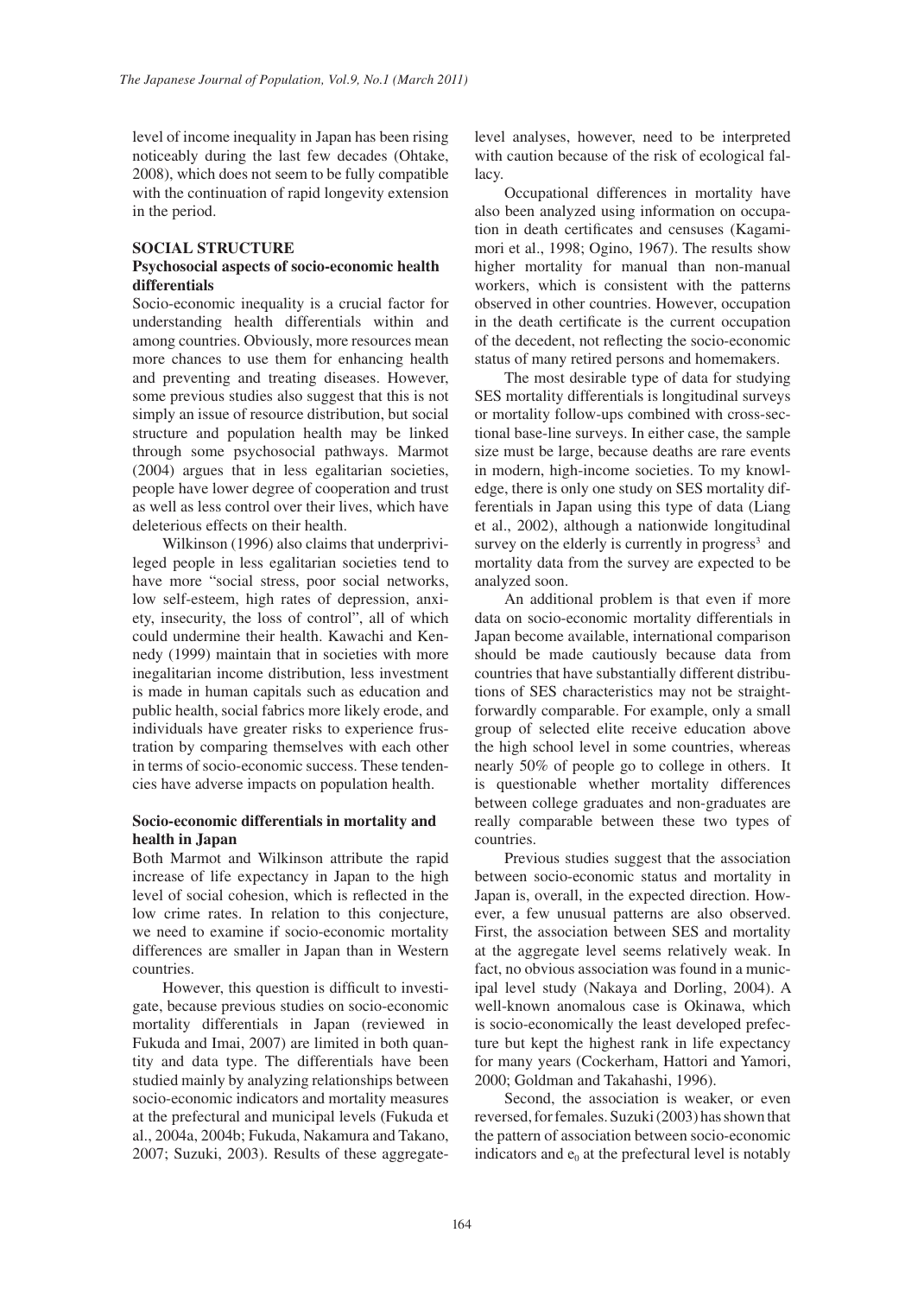level of income inequality in Japan has been rising noticeably during the last few decades (Ohtake, 2008), which does not seem to be fully compatible with the continuation of rapid longevity extension in the period.

### **SOCIAL STRUCTURE**

# **Psychosocial aspects of socio-economic health differentials**

Socio-economic inequality is a crucial factor for understanding health differentials within and among countries. Obviously, more resources mean more chances to use them for enhancing health and preventing and treating diseases. However, some previous studies also suggest that this is not simply an issue of resource distribution, but social structure and population health may be linked through some psychosocial pathways. Marmot (2004) argues that in less egalitarian societies, people have lower degree of cooperation and trust as well as less control over their lives, which have deleterious effects on their health.

Wilkinson (1996) also claims that underprivileged people in less egalitarian societies tend to have more "social stress, poor social networks, low self-esteem, high rates of depression, anxiety, insecurity, the loss of control", all of which could undermine their health. Kawachi and Kennedy (1999) maintain that in societies with more inegalitarian income distribution, less investment is made in human capitals such as education and public health, social fabrics more likely erode, and individuals have greater risks to experience frustration by comparing themselves with each other in terms of socio-economic success. These tendencies have adverse impacts on population health.

## **Socio-economic differentials in mortality and health in Japan**

Both Marmot and Wilkinson attribute the rapid increase of life expectancy in Japan to the high level of social cohesion, which is reflected in the low crime rates. In relation to this conjecture, we need to examine if socio-economic mortality differences are smaller in Japan than in Western countries.

However, this question is difficult to investigate, because previous studies on socio-economic mortality differentials in Japan (reviewed in Fukuda and Imai, 2007) are limited in both quantity and data type. The differentials have been studied mainly by analyzing relationships between socio-economic indicators and mortality measures at the prefectural and municipal levels (Fukuda et al., 2004a, 2004b; Fukuda, Nakamura and Takano, 2007; Suzuki, 2003). Results of these aggregatelevel analyses, however, need to be interpreted with caution because of the risk of ecological fallacy.

Occupational differences in mortality have also been analyzed using information on occupation in death certificates and censuses (Kagamimori et al., 1998; Ogino, 1967). The results show higher mortality for manual than non-manual workers, which is consistent with the patterns observed in other countries. However, occupation in the death certificate is the current occupation of the decedent, not reflecting the socio-economic status of many retired persons and homemakers.

The most desirable type of data for studying SES mortality differentials is longitudinal surveys or mortality follow-ups combined with cross-sectional base-line surveys. In either case, the sample size must be large, because deaths are rare events in modern, high-income societies. To my knowledge, there is only one study on SES mortality differentials in Japan using this type of data (Liang et al., 2002), although a nationwide longitudinal survey on the elderly is currently in progress<sup>3</sup> and mortality data from the survey are expected to be analyzed soon.

An additional problem is that even if more data on socio-economic mortality differentials in Japan become available, international comparison should be made cautiously because data from countries that have substantially different distributions of SES characteristics may not be straightforwardly comparable. For example, only a small group of selected elite receive education above the high school level in some countries, whereas nearly 50% of people go to college in others. It is questionable whether mortality differences between college graduates and non-graduates are really comparable between these two types of countries.

Previous studies suggest that the association between socio-economic status and mortality in Japan is, overall, in the expected direction. However, a few unusual patterns are also observed. First, the association between SES and mortality at the aggregate level seems relatively weak. In fact, no obvious association was found in a municipal level study (Nakaya and Dorling, 2004). A well-known anomalous case is Okinawa, which is socio-economically the least developed prefecture but kept the highest rank in life expectancy for many years (Cockerham, Hattori and Yamori, 2000; Goldman and Takahashi, 1996).

Second, the association is weaker, or even reversed, for females. Suzuki (2003) has shown that the pattern of association between socio-economic indicators and  $e_0$  at the prefectural level is notably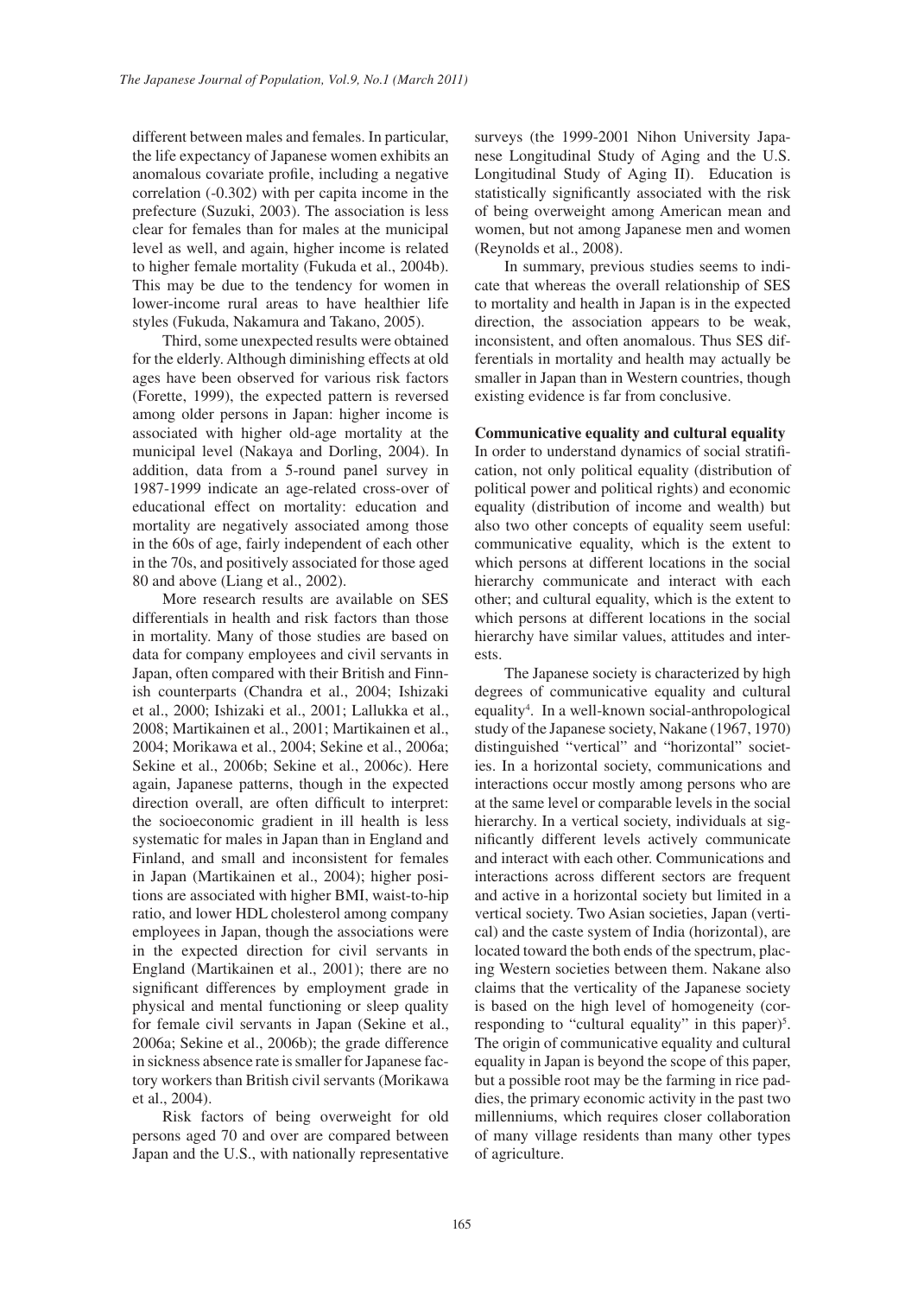different between males and females. In particular, the life expectancy of Japanese women exhibits an anomalous covariate profile, including a negative correlation (-0.302) with per capita income in the prefecture (Suzuki, 2003). The association is less clear for females than for males at the municipal level as well, and again, higher income is related to higher female mortality (Fukuda et al., 2004b). This may be due to the tendency for women in lower-income rural areas to have healthier life styles (Fukuda, Nakamura and Takano, 2005).

Third, some unexpected results were obtained for the elderly. Although diminishing effects at old ages have been observed for various risk factors (Forette, 1999), the expected pattern is reversed among older persons in Japan: higher income is associated with higher old-age mortality at the municipal level (Nakaya and Dorling, 2004). In addition, data from a 5-round panel survey in 1987-1999 indicate an age-related cross-over of educational effect on mortality: education and mortality are negatively associated among those in the 60s of age, fairly independent of each other in the 70s, and positively associated for those aged 80 and above (Liang et al., 2002).

More research results are available on SES differentials in health and risk factors than those in mortality. Many of those studies are based on data for company employees and civil servants in Japan, often compared with their British and Finnish counterparts (Chandra et al., 2004; Ishizaki et al., 2000; Ishizaki et al., 2001; Lallukka et al., 2008; Martikainen et al., 2001; Martikainen et al., 2004; Morikawa et al., 2004; Sekine et al., 2006a; Sekine et al., 2006b; Sekine et al., 2006c). Here again, Japanese patterns, though in the expected direction overall, are often difficult to interpret: the socioeconomic gradient in ill health is less systematic for males in Japan than in England and Finland, and small and inconsistent for females in Japan (Martikainen et al., 2004); higher positions are associated with higher BMI, waist-to-hip ratio, and lower HDL cholesterol among company employees in Japan, though the associations were in the expected direction for civil servants in England (Martikainen et al., 2001); there are no significant differences by employment grade in physical and mental functioning or sleep quality for female civil servants in Japan (Sekine et al., 2006a; Sekine et al., 2006b); the grade difference in sickness absence rate is smaller for Japanese factory workers than British civil servants (Morikawa et al., 2004).

Risk factors of being overweight for old persons aged 70 and over are compared between Japan and the U.S., with nationally representative surveys (the 1999-2001 Nihon University Japanese Longitudinal Study of Aging and the U.S. Longitudinal Study of Aging II). Education is statistically significantly associated with the risk of being overweight among American mean and women, but not among Japanese men and women (Reynolds et al., 2008).

In summary, previous studies seems to indicate that whereas the overall relationship of SES to mortality and health in Japan is in the expected direction, the association appears to be weak, inconsistent, and often anomalous. Thus SES differentials in mortality and health may actually be smaller in Japan than in Western countries, though existing evidence is far from conclusive.

# **Communicative equality and cultural equality**

In order to understand dynamics of social stratification, not only political equality (distribution of political power and political rights) and economic equality (distribution of income and wealth) but also two other concepts of equality seem useful: communicative equality, which is the extent to which persons at different locations in the social hierarchy communicate and interact with each other; and cultural equality, which is the extent to which persons at different locations in the social hierarchy have similar values, attitudes and interests.

The Japanese society is characterized by high degrees of communicative equality and cultural equality4 . In a well-known social-anthropological study of the Japanese society, Nakane (1967, 1970) distinguished "vertical" and "horizontal" societies. In a horizontal society, communications and interactions occur mostly among persons who are at the same level or comparable levels in the social hierarchy. In a vertical society, individuals at significantly different levels actively communicate and interact with each other. Communications and interactions across different sectors are frequent and active in a horizontal society but limited in a vertical society. Two Asian societies, Japan (vertical) and the caste system of India (horizontal), are located toward the both ends of the spectrum, placing Western societies between them. Nakane also claims that the verticality of the Japanese society is based on the high level of homogeneity (corresponding to "cultural equality" in this paper)<sup>5</sup>. The origin of communicative equality and cultural equality in Japan is beyond the scope of this paper, but a possible root may be the farming in rice paddies, the primary economic activity in the past two millenniums, which requires closer collaboration of many village residents than many other types of agriculture.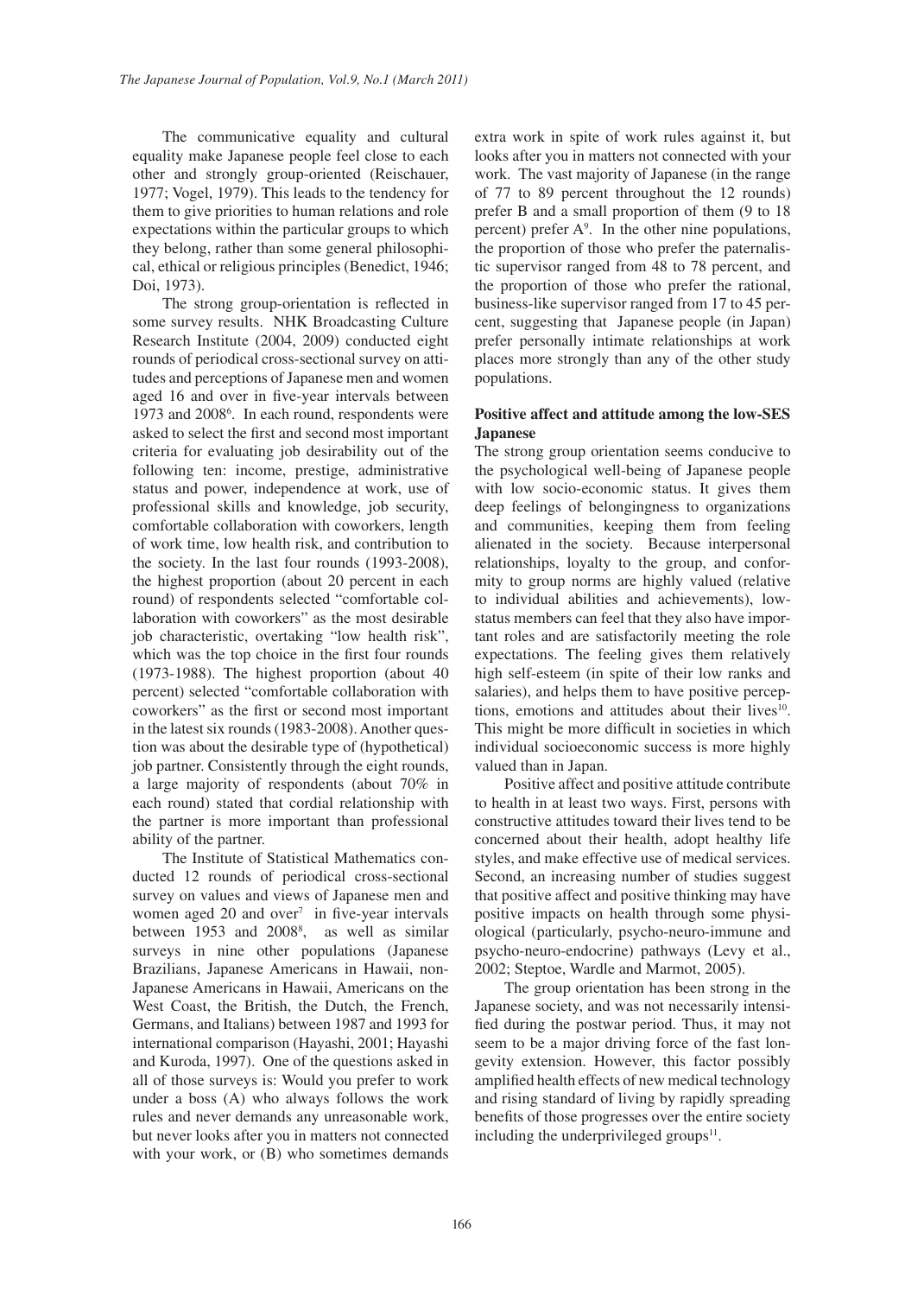The communicative equality and cultural equality make Japanese people feel close to each other and strongly group-oriented (Reischauer, 1977; Vogel, 1979). This leads to the tendency for them to give priorities to human relations and role expectations within the particular groups to which they belong, rather than some general philosophical, ethical or religious principles (Benedict, 1946; Doi, 1973).

The strong group-orientation is reflected in some survey results. NHK Broadcasting Culture Research Institute (2004, 2009) conducted eight rounds of periodical cross-sectional survey on attitudes and perceptions of Japanese men and women aged 16 and over in five-year intervals between 1973 and 2008<sup>6</sup>. In each round, respondents were asked to select the first and second most important criteria for evaluating job desirability out of the following ten: income, prestige, administrative status and power, independence at work, use of professional skills and knowledge, job security, comfortable collaboration with coworkers, length of work time, low health risk, and contribution to the society. In the last four rounds (1993-2008), the highest proportion (about 20 percent in each round) of respondents selected "comfortable collaboration with coworkers" as the most desirable job characteristic, overtaking "low health risk", which was the top choice in the first four rounds (1973-1988). The highest proportion (about 40 percent) selected "comfortable collaboration with coworkers" as the first or second most important in the latest six rounds (1983-2008). Another question was about the desirable type of (hypothetical) job partner. Consistently through the eight rounds, a large majority of respondents (about 70% in each round) stated that cordial relationship with the partner is more important than professional ability of the partner.

The Institute of Statistical Mathematics conducted 12 rounds of periodical cross-sectional survey on values and views of Japanese men and women aged  $20$  and over<sup>7</sup> in five-year intervals between 1953 and 2008<sup>8</sup>, as well as similar surveys in nine other populations (Japanese Brazilians, Japanese Americans in Hawaii, non-Japanese Americans in Hawaii, Americans on the West Coast, the British, the Dutch, the French, Germans, and Italians) between 1987 and 1993 for international comparison (Hayashi, 2001; Hayashi and Kuroda, 1997). One of the questions asked in all of those surveys is: Would you prefer to work under a boss (A) who always follows the work rules and never demands any unreasonable work, but never looks after you in matters not connected with your work, or  $(B)$  who sometimes demands

extra work in spite of work rules against it, but looks after you in matters not connected with your work. The vast majority of Japanese (in the range of 77 to 89 percent throughout the 12 rounds) prefer B and a small proportion of them (9 to 18 percent) prefer  $A^9$ . In the other nine populations, the proportion of those who prefer the paternalistic supervisor ranged from 48 to 78 percent, and the proportion of those who prefer the rational, business-like supervisor ranged from 17 to 45 percent, suggesting that Japanese people (in Japan) prefer personally intimate relationships at work places more strongly than any of the other study populations.

# **Positive affect and attitude among the low-SES Japanese**

The strong group orientation seems conducive to the psychological well-being of Japanese people with low socio-economic status. It gives them deep feelings of belongingness to organizations and communities, keeping them from feeling alienated in the society. Because interpersonal relationships, loyalty to the group, and conformity to group norms are highly valued (relative to individual abilities and achievements), lowstatus members can feel that they also have important roles and are satisfactorily meeting the role expectations. The feeling gives them relatively high self-esteem (in spite of their low ranks and salaries), and helps them to have positive perceptions, emotions and attitudes about their lives<sup>10</sup>. This might be more difficult in societies in which individual socioeconomic success is more highly valued than in Japan.

Positive affect and positive attitude contribute to health in at least two ways. First, persons with constructive attitudes toward their lives tend to be concerned about their health, adopt healthy life styles, and make effective use of medical services. Second, an increasing number of studies suggest that positive affect and positive thinking may have positive impacts on health through some physiological (particularly, psycho-neuro-immune and psycho-neuro-endocrine) pathways (Levy et al., 2002; Steptoe, Wardle and Marmot, 2005).

The group orientation has been strong in the Japanese society, and was not necessarily intensified during the postwar period. Thus, it may not seem to be a major driving force of the fast longevity extension. However, this factor possibly amplified health effects of new medical technology and rising standard of living by rapidly spreading benefits of those progresses over the entire society including the underprivileged groups $11$ .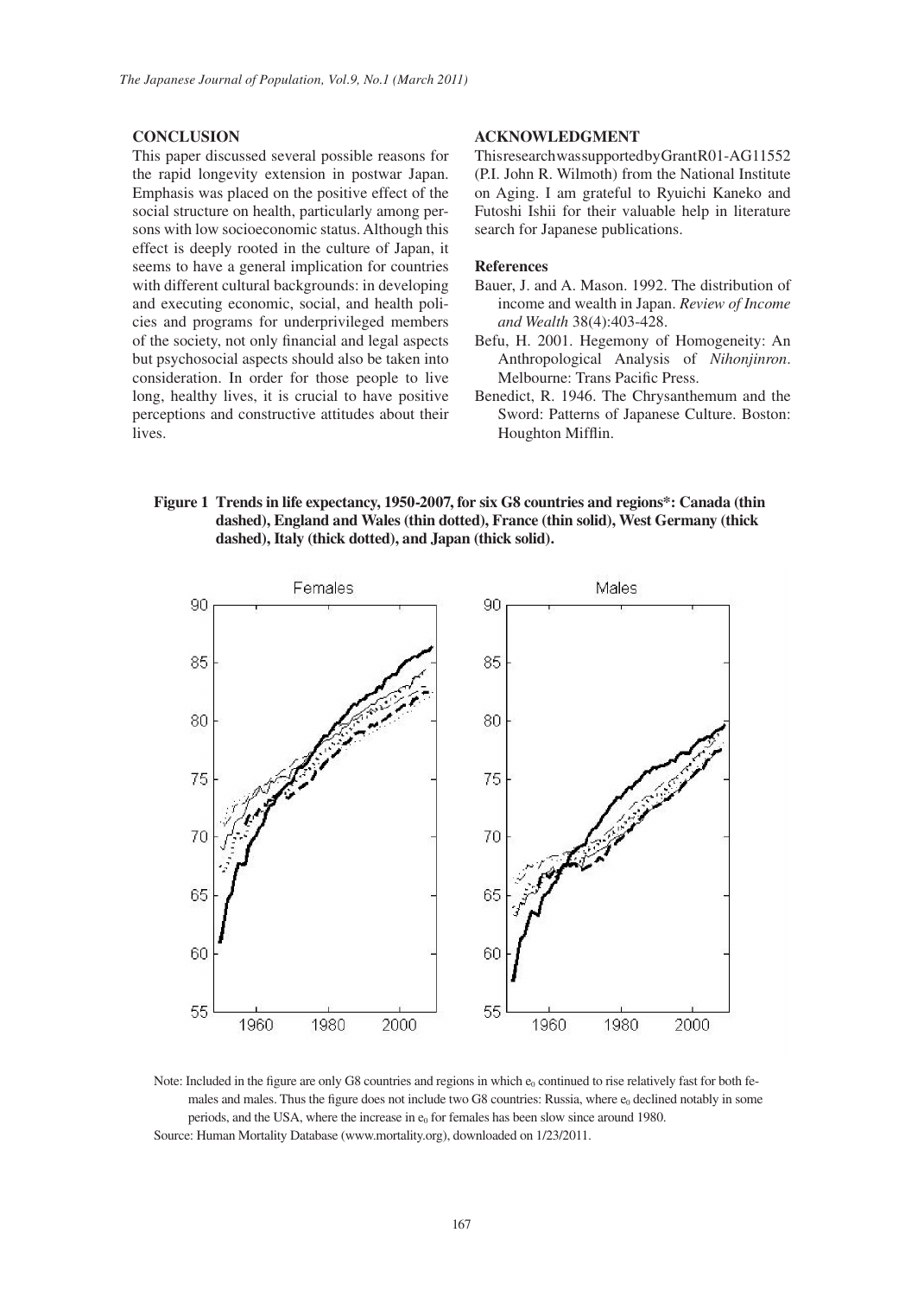#### **CONCLUSION**

This paper discussed several possible reasons for the rapid longevity extension in postwar Japan. Emphasis was placed on the positive effect of the social structure on health, particularly among persons with low socioeconomic status. Although this effect is deeply rooted in the culture of Japan, it seems to have a general implication for countries with different cultural backgrounds: in developing and executing economic, social, and health policies and programs for underprivileged members of the society, not only financial and legal aspects but psychosocial aspects should also be taken into consideration. In order for those people to live long, healthy lives, it is crucial to have positive perceptions and constructive attitudes about their lives.

#### **ACKNOWLEDGMENT**

This research was supported by Grant R01-AG11552 (P.I. John R. Wilmoth) from the National Institute on Aging. I am grateful to Ryuichi Kaneko and Futoshi Ishii for their valuable help in literature search for Japanese publications.

#### **References**

- Bauer, J. and A. Mason. 1992. The distribution of income and wealth in Japan. *Review of Income and Wealth* 38(4):403-428.
- Befu, H. 2001. Hegemony of Homogeneity: An Anthropological Analysis of *Nihonjinron*. Melbourne: Trans Pacific Press.
- Benedict, R. 1946. The Chrysanthemum and the Sword: Patterns of Japanese Culture. Boston: Houghton Mifflin.

# **Figure 1 Trends in life expectancy, 1950-2007, for six G8 countries and regions\*: Canada (thin dashed), England and Wales (thin dotted), France (thin solid), West Germany (thick dashed), Italy (thick dotted), and Japan (thick solid).**



Note: Included in the figure are only G8 countries and regions in which  $e_0$  continued to rise relatively fast for both females and males. Thus the figure does not include two G8 countries: Russia, where  $e_0$  declined notably in some periods, and the USA, where the increase in  $e_0$  for females has been slow since around 1980. Source: Human Mortality Database (www.mortality.org), downloaded on 1/23/2011.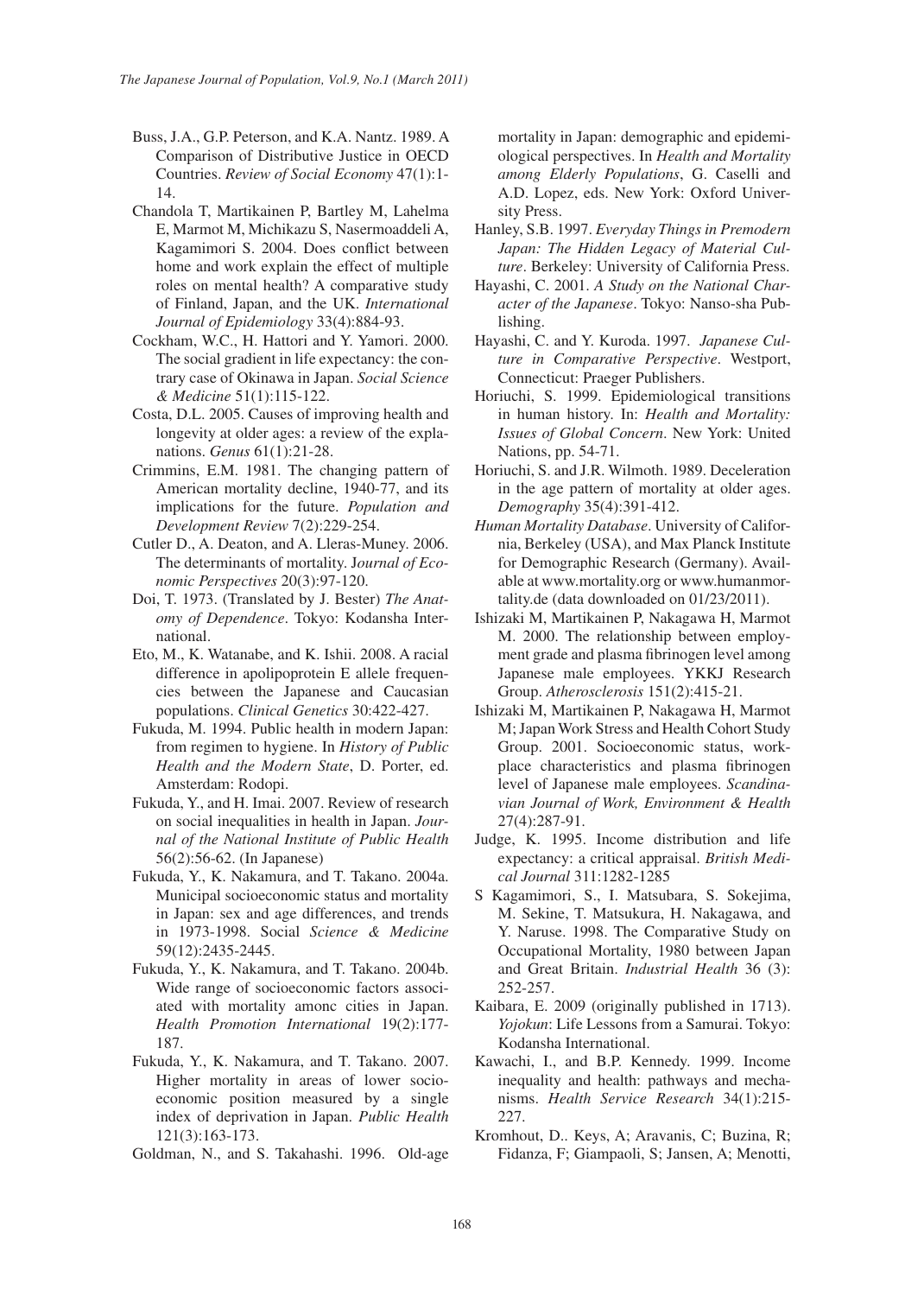- Buss, J.A., G.P. Peterson, and K.A. Nantz. 1989. A Comparison of Distributive Justice in OECD Countries. *Review of Social Economy* 47(1):1- 14.
- Chandola T, Martikainen P, Bartley M, Lahelma E, Marmot M, Michikazu S, Nasermoaddeli A, Kagamimori S. 2004. Does conflict between home and work explain the effect of multiple roles on mental health? A comparative study of Finland, Japan, and the UK. *International Journal of Epidemiology* 33(4):884-93.
- Cockham, W.C., H. Hattori and Y. Yamori. 2000. The social gradient in life expectancy: the contrary case of Okinawa in Japan. *Social Science & Medicine* 51(1):115-122.
- Costa, D.L. 2005. Causes of improving health and longevity at older ages: a review of the explanations. *Genus* 61(1):21-28.
- Crimmins, E.M. 1981. The changing pattern of American mortality decline, 1940-77, and its implications for the future. *Population and Development Review* 7(2):229-254.
- Cutler D., A. Deaton, and A. Lleras-Muney. 2006. The determinants of mortality. J*ournal of Economic Perspectives* 20(3):97-120.
- Doi, T. 1973. (Translated by J. Bester) *The Anatomy of Dependence*. Tokyo: Kodansha International.
- Eto, M., K. Watanabe, and K. Ishii. 2008. A racial difference in apolipoprotein E allele frequencies between the Japanese and Caucasian populations. *Clinical Genetics* 30:422-427.
- Fukuda, M. 1994. Public health in modern Japan: from regimen to hygiene. In *History of Public Health and the Modern State*, D. Porter, ed. Amsterdam: Rodopi.
- Fukuda, Y., and H. Imai. 2007. Review of research on social inequalities in health in Japan. *Journal of the National Institute of Public Health*  56(2):56-62. (In Japanese)
- Fukuda, Y., K. Nakamura, and T. Takano. 2004a. Municipal socioeconomic status and mortality in Japan: sex and age differences, and trends in 1973-1998. Social *Science & Medicine*  59(12):2435-2445.
- Fukuda, Y., K. Nakamura, and T. Takano. 2004b. Wide range of socioeconomic factors associated with mortality amonc cities in Japan. *Health Promotion International* 19(2):177- 187.
- Fukuda, Y., K. Nakamura, and T. Takano. 2007. Higher mortality in areas of lower socioeconomic position measured by a single index of deprivation in Japan. *Public Health* 121(3):163-173.
- Goldman, N., and S. Takahashi. 1996. Old-age

mortality in Japan: demographic and epidemiological perspectives. In *Health and Mortality among Elderly Populations*, G. Caselli and A.D. Lopez, eds. New York: Oxford University Press.

- Hanley, S.B. 1997. *Everyday Things in Premodern Japan: The Hidden Legacy of Material Culture*. Berkeley: University of California Press.
- Hayashi, C. 2001. *A Study on the National Character of the Japanese*. Tokyo: Nanso-sha Publishing.
- Hayashi, C. and Y. Kuroda. 1997. *Japanese Culture in Comparative Perspective*. Westport, Connecticut: Praeger Publishers.
- Horiuchi, S. 1999. Epidemiological transitions in human history. In: *Health and Mortality: Issues of Global Concern*. New York: United Nations, pp. 54-71.
- Horiuchi, S. and J.R. Wilmoth. 1989. Deceleration in the age pattern of mortality at older ages. *Demography* 35(4):391-412.
- *Human Mortality Database*. University of California, Berkeley (USA), and Max Planck Institute for Demographic Research (Germany). Available at www.mortality.org or www.humanmortality.de (data downloaded on 01/23/2011).
- Ishizaki M, Martikainen P, Nakagawa H, Marmot M. 2000. The relationship between employment grade and plasma fibrinogen level among Japanese male employees. YKKJ Research Group. *Atherosclerosis* 151(2):415-21.
- Ishizaki M, Martikainen P, Nakagawa H, Marmot M; Japan Work Stress and Health Cohort Study Group. 2001. Socioeconomic status, workplace characteristics and plasma fibrinogen level of Japanese male employees. *Scandinavian Journal of Work, Environment & Health* 27(4):287-91.
- Judge, K. 1995. Income distribution and life expectancy: a critical appraisal. *British Medical Journal* 311:1282-1285
- S Kagamimori, S., I. Matsubara, S. Sokejima, M. Sekine, T. Matsukura, H. Nakagawa, and Y. Naruse. 1998. The Comparative Study on Occupational Mortality, 1980 between Japan and Great Britain. *Industrial Health* 36 (3): 252-257.
- Kaibara, E. 2009 (originally published in 1713). *Yojokun*: Life Lessons from a Samurai. Tokyo: Kodansha International.
- Kawachi, I., and B.P. Kennedy. 1999. Income inequality and health: pathways and mechanisms. *Health Service Research* 34(1):215- 227.
- Kromhout, D.. Keys, A; Aravanis, C; Buzina, R; Fidanza, F; Giampaoli, S; Jansen, A; Menotti,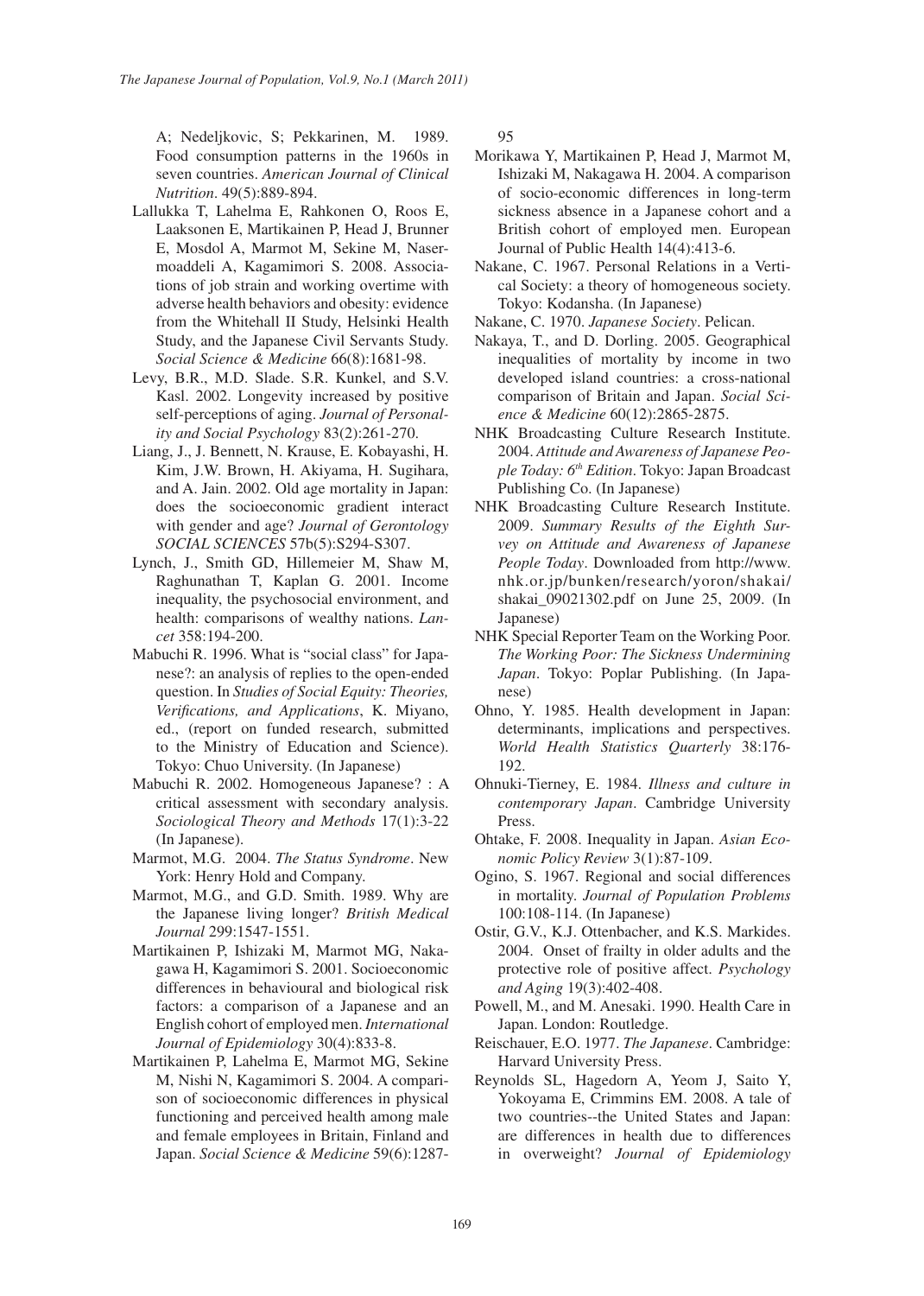*The Japanese Journal of Population, Vol.9, No.1 (March 2011)*

A; Nedeljkovic, S; Pekkarinen, M. 1989. Food consumption patterns in the 1960s in seven countries. *American Journal of Clinical Nutrition*. 49(5):889-894.

- Lallukka T, Lahelma E, Rahkonen O, Roos E, Laaksonen E, Martikainen P, Head J, Brunner E, Mosdol A, Marmot M, Sekine M, Nasermoaddeli A, Kagamimori S. 2008. Associations of job strain and working overtime with adverse health behaviors and obesity: evidence from the Whitehall II Study, Helsinki Health Study, and the Japanese Civil Servants Study. *Social Science & Medicine* 66(8):1681-98.
- Levy, B.R., M.D. Slade. S.R. Kunkel, and S.V. Kasl. 2002. Longevity increased by positive self-perceptions of aging. *Journal of Personality and Social Psychology* 83(2):261-270.
- Liang, J., J. Bennett, N. Krause, E. Kobayashi, H. Kim, J.W. Brown, H. Akiyama, H. Sugihara, and A. Jain. 2002. Old age mortality in Japan: does the socioeconomic gradient interact with gender and age? *Journal of Gerontology SOCIAL SCIENCES* 57b(5):S294-S307.
- Lynch, J., Smith GD, Hillemeier M, Shaw M, Raghunathan T, Kaplan G. 2001. Income inequality, the psychosocial environment, and health: comparisons of wealthy nations. *Lancet* 358:194-200.
- Mabuchi R. 1996. What is "social class" for Japanese?: an analysis of replies to the open-ended question. In *Studies of Social Equity: Theories, Verifications, and Applications*, K. Miyano, ed., (report on funded research, submitted to the Ministry of Education and Science). Tokyo: Chuo University. (In Japanese)
- Mabuchi R. 2002. Homogeneous Japanese? : A critical assessment with secondary analysis. *Sociological Theory and Methods* 17(1):3-22 (In Japanese).
- Marmot, M.G. 2004. *The Status Syndrome*. New York: Henry Hold and Company.
- Marmot, M.G., and G.D. Smith. 1989. Why are the Japanese living longer? *British Medical Journal* 299:1547-1551.
- Martikainen P, Ishizaki M, Marmot MG, Nakagawa H, Kagamimori S. 2001. Socioeconomic differences in behavioural and biological risk factors: a comparison of a Japanese and an English cohort of employed men. *International Journal of Epidemiology* 30(4):833-8.
- Martikainen P, Lahelma E, Marmot MG, Sekine M, Nishi N, Kagamimori S. 2004. A comparison of socioeconomic differences in physical functioning and perceived health among male and female employees in Britain, Finland and Japan. *Social Science & Medicine* 59(6):1287-

95

- Morikawa Y, Martikainen P, Head J, Marmot M, Ishizaki M, Nakagawa H. 2004. A comparison of socio-economic differences in long-term sickness absence in a Japanese cohort and a British cohort of employed men. European Journal of Public Health 14(4):413-6.
- Nakane, C. 1967. Personal Relations in a Vertical Society: a theory of homogeneous society. Tokyo: Kodansha. (In Japanese)
- Nakane, C. 1970. *Japanese Society*. Pelican.
- Nakaya, T., and D. Dorling. 2005. Geographical inequalities of mortality by income in two developed island countries: a cross-national comparison of Britain and Japan. *Social Science & Medicine* 60(12):2865-2875.
- NHK Broadcasting Culture Research Institute. 2004. *Attitude and Awareness of Japanese People Today: 6th Edition*. Tokyo: Japan Broadcast Publishing Co. (In Japanese)
- NHK Broadcasting Culture Research Institute. 2009. *Summary Results of the Eighth Survey on Attitude and Awareness of Japanese People Today*. Downloaded from http://www. nhk.or.jp/bunken/research/yoron/shakai/ shakai\_09021302.pdf on June 25, 2009. (In Japanese)
- NHK Special Reporter Team on the Working Poor. *The Working Poor: The Sickness Undermining Japan*. Tokyo: Poplar Publishing. (In Japanese)
- Ohno, Y. 1985. Health development in Japan: determinants, implications and perspectives. *World Health Statistics Quarterly* 38:176- 192.
- Ohnuki-Tierney, E. 1984. *Illness and culture in contemporary Japan*. Cambridge University Press.
- Ohtake, F. 2008. Inequality in Japan. *Asian Economic Policy Review* 3(1):87-109.
- Ogino, S. 1967. Regional and social differences in mortality. *Journal of Population Problems*  100:108-114. (In Japanese)
- Ostir, G.V., K.J. Ottenbacher, and K.S. Markides. 2004. Onset of frailty in older adults and the protective role of positive affect. *Psychology and Aging* 19(3):402-408.
- Powell, M., and M. Anesaki. 1990. Health Care in Japan. London: Routledge.
- Reischauer, E.O. 1977. *The Japanese*. Cambridge: Harvard University Press.
- Reynolds SL, Hagedorn A, Yeom J, Saito Y, Yokoyama E, Crimmins EM. 2008. A tale of two countries--the United States and Japan: are differences in health due to differences in overweight? *Journal of Epidemiology*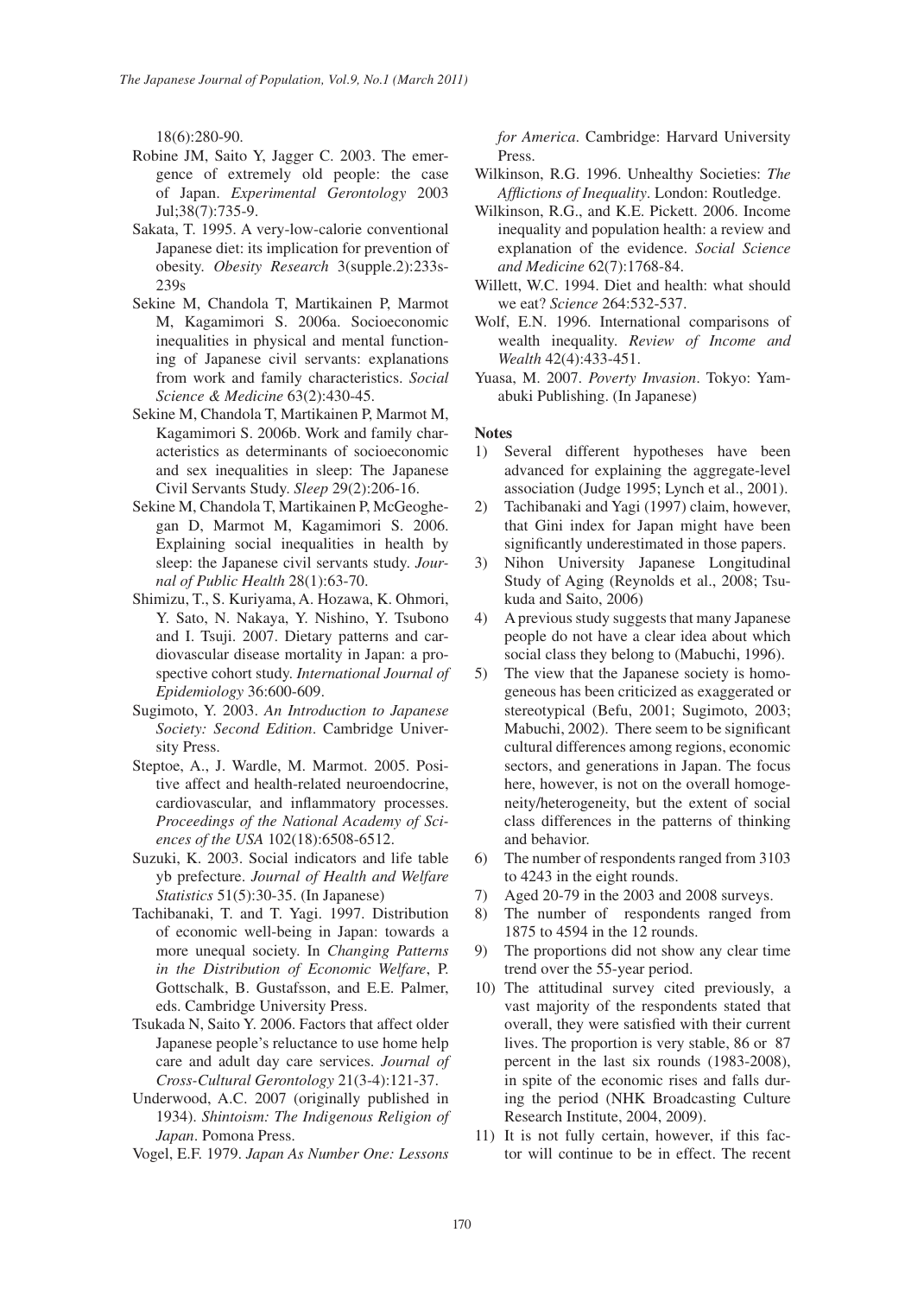18(6):280-90.

- Robine JM, Saito Y, Jagger C. 2003. The emergence of extremely old people: the case of Japan. *Experimental Gerontology* 2003 Jul;38(7):735-9.
- Sakata, T. 1995. A very-low-calorie conventional Japanese diet: its implication for prevention of obesity. *Obesity Research* 3(supple.2):233s-239s
- Sekine M, Chandola T, Martikainen P, Marmot M, Kagamimori S. 2006a. Socioeconomic inequalities in physical and mental functioning of Japanese civil servants: explanations from work and family characteristics. *Social Science & Medicine* 63(2):430-45.
- Sekine M, Chandola T, Martikainen P, Marmot M, Kagamimori S. 2006b. Work and family characteristics as determinants of socioeconomic and sex inequalities in sleep: The Japanese Civil Servants Study. *Sleep* 29(2):206-16.
- Sekine M, Chandola T, Martikainen P, McGeoghegan D, Marmot M, Kagamimori S. 2006. Explaining social inequalities in health by sleep: the Japanese civil servants study. *Journal of Public Health* 28(1):63-70.
- Shimizu, T., S. Kuriyama, A. Hozawa, K. Ohmori, Y. Sato, N. Nakaya, Y. Nishino, Y. Tsubono and I. Tsuji. 2007. Dietary patterns and cardiovascular disease mortality in Japan: a prospective cohort study. *International Journal of Epidemiology* 36:600-609.
- Sugimoto, Y. 2003. *An Introduction to Japanese Society: Second Edition*. Cambridge University Press.
- Steptoe, A., J. Wardle, M. Marmot. 2005. Positive affect and health-related neuroendocrine, cardiovascular, and inflammatory processes. *Proceedings of the National Academy of Sciences of the USA* 102(18):6508-6512.
- Suzuki, K. 2003. Social indicators and life table yb prefecture. *Journal of Health and Welfare Statistics* 51(5):30-35. (In Japanese)
- Tachibanaki, T. and T. Yagi. 1997. Distribution of economic well-being in Japan: towards a more unequal society. In *Changing Patterns in the Distribution of Economic Welfare*, P. Gottschalk, B. Gustafsson, and E.E. Palmer, eds. Cambridge University Press.
- Tsukada N, Saito Y. 2006. Factors that affect older Japanese people's reluctance to use home help care and adult day care services. *Journal of Cross-Cultural Gerontology* 21(3-4):121-37.
- Underwood, A.C. 2007 (originally published in 1934). *Shintoism: The Indigenous Religion of Japan*. Pomona Press.
- Vogel, E.F. 1979. *Japan As Number One: Lessons*

*for America*. Cambridge: Harvard University Press.

- Wilkinson, R.G. 1996. Unhealthy Societies: *The Afflictions of Inequality*. London: Routledge.
- Wilkinson, R.G., and K.E. Pickett. 2006. Income inequality and population health: a review and explanation of the evidence. *Social Science and Medicine* 62(7):1768-84.
- Willett, W.C. 1994. Diet and health: what should we eat? *Science* 264:532-537.
- Wolf, E.N. 1996. International comparisons of wealth inequality. *Review of Income and Wealth* 42(4):433-451.
- Yuasa, M. 2007. *Poverty Invasion*. Tokyo: Yamabuki Publishing. (In Japanese)

### **Notes**

- 1) Several different hypotheses have been advanced for explaining the aggregate-level association (Judge 1995; Lynch et al., 2001).
- 2) Tachibanaki and Yagi (1997) claim, however, that Gini index for Japan might have been significantly underestimated in those papers.
- 3) Nihon University Japanese Longitudinal Study of Aging (Reynolds et al., 2008; Tsukuda and Saito, 2006)
- 4) A previous study suggests that many Japanese people do not have a clear idea about which social class they belong to (Mabuchi, 1996).
- 5) The view that the Japanese society is homogeneous has been criticized as exaggerated or stereotypical (Befu, 2001; Sugimoto, 2003; Mabuchi, 2002). There seem to be significant cultural differences among regions, economic sectors, and generations in Japan. The focus here, however, is not on the overall homogeneity/heterogeneity, but the extent of social class differences in the patterns of thinking and behavior.
- 6) The number of respondents ranged from 3103 to 4243 in the eight rounds.
- 7) Aged 20-79 in the 2003 and 2008 surveys.
- 8) The number of respondents ranged from 1875 to 4594 in the 12 rounds.
- 9) The proportions did not show any clear time trend over the 55-year period.
- 10) The attitudinal survey cited previously, a vast majority of the respondents stated that overall, they were satisfied with their current lives. The proportion is very stable, 86 or 87 percent in the last six rounds (1983-2008), in spite of the economic rises and falls during the period (NHK Broadcasting Culture Research Institute, 2004, 2009).
- 11) It is not fully certain, however, if this factor will continue to be in effect. The recent